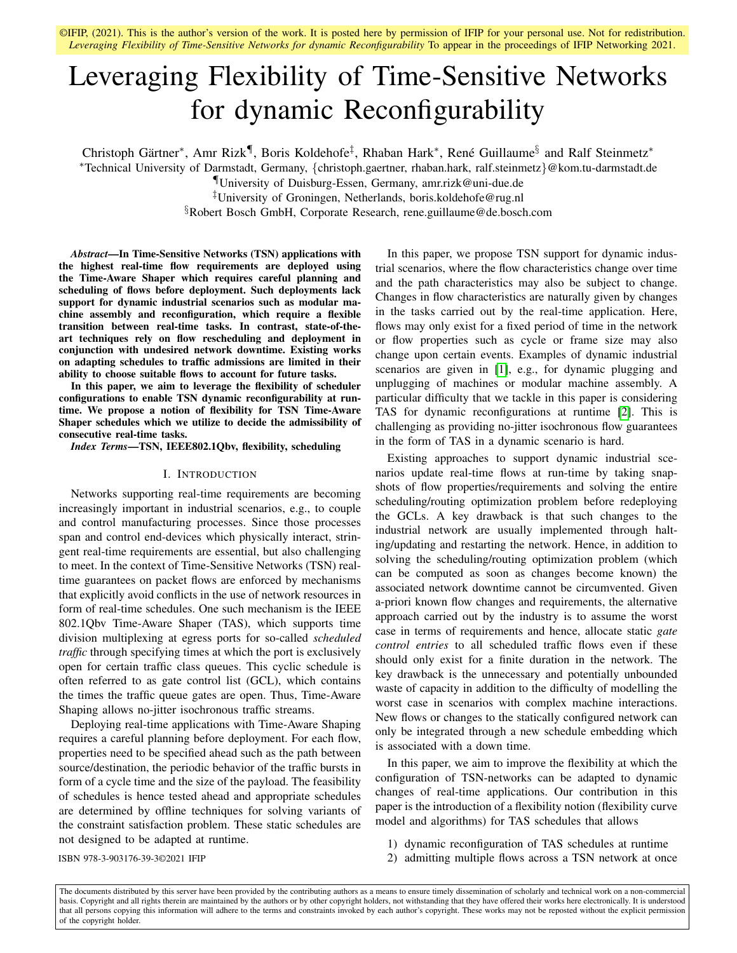# Leveraging Flexibility of Time-Sensitive Networks for dynamic Reconfigurability

Christoph Gärtner<sup>\*</sup>, Amr Rizk¶, Boris Koldehofe<sup>‡</sup>, Rhaban Hark<sup>\*</sup>, René Guillaume<sup>§</sup> and Ralf Steinmetz<sup>\*</sup>

<sup>∗</sup>Technical University of Darmstadt, Germany, {christoph.gaertner, rhaban.hark, ralf.steinmetz}@kom.tu-darmstadt.de

¶University of Duisburg-Essen, Germany, amr.rizk@uni-due.de

‡University of Groningen, Netherlands, boris.koldehofe@rug.nl

§Robert Bosch GmbH, Corporate Research, rene.guillaume@de.bosch.com

*Abstract*—In Time-Sensitive Networks (TSN) applications with the highest real-time flow requirements are deployed using the Time-Aware Shaper which requires careful planning and scheduling of flows before deployment. Such deployments lack support for dynamic industrial scenarios such as modular machine assembly and reconfiguration, which require a flexible transition between real-time tasks. In contrast, state-of-theart techniques rely on flow rescheduling and deployment in conjunction with undesired network downtime. Existing works on adapting schedules to traffic admissions are limited in their ability to choose suitable flows to account for future tasks.

In this paper, we aim to leverage the flexibility of scheduler configurations to enable TSN dynamic reconfigurability at runtime. We propose a notion of flexibility for TSN Time-Aware Shaper schedules which we utilize to decide the admissibility of consecutive real-time tasks.

*Index Terms*—TSN, IEEE802.1Qbv, flexibility, scheduling

#### I. INTRODUCTION

Networks supporting real-time requirements are becoming increasingly important in industrial scenarios, e.g., to couple and control manufacturing processes. Since those processes span and control end-devices which physically interact, stringent real-time requirements are essential, but also challenging to meet. In the context of Time-Sensitive Networks (TSN) realtime guarantees on packet flows are enforced by mechanisms that explicitly avoid conflicts in the use of network resources in form of real-time schedules. One such mechanism is the IEEE 802.1Qbv Time-Aware Shaper (TAS), which supports time division multiplexing at egress ports for so-called *scheduled traffic* through specifying times at which the port is exclusively open for certain traffic class queues. This cyclic schedule is often referred to as gate control list (GCL), which contains the times the traffic queue gates are open. Thus, Time-Aware Shaping allows no-jitter isochronous traffic streams.

Deploying real-time applications with Time-Aware Shaping requires a careful planning before deployment. For each flow, properties need to be specified ahead such as the path between source/destination, the periodic behavior of the traffic bursts in form of a cycle time and the size of the payload. The feasibility of schedules is hence tested ahead and appropriate schedules are determined by offline techniques for solving variants of the constraint satisfaction problem. These static schedules are not designed to be adapted at runtime.

In this paper, we propose TSN support for dynamic industrial scenarios, where the flow characteristics change over time and the path characteristics may also be subject to change. Changes in flow characteristics are naturally given by changes in the tasks carried out by the real-time application. Here, flows may only exist for a fixed period of time in the network or flow properties such as cycle or frame size may also change upon certain events. Examples of dynamic industrial scenarios are given in [\[1\]](#page-5-0), e.g., for dynamic plugging and unplugging of machines or modular machine assembly. A particular difficulty that we tackle in this paper is considering TAS for dynamic reconfigurations at runtime [\[2\]](#page-5-1). This is challenging as providing no-jitter isochronous flow guarantees in the form of TAS in a dynamic scenario is hard.

Existing approaches to support dynamic industrial scenarios update real-time flows at run-time by taking snapshots of flow properties/requirements and solving the entire scheduling/routing optimization problem before redeploying the GCLs. A key drawback is that such changes to the industrial network are usually implemented through halting/updating and restarting the network. Hence, in addition to solving the scheduling/routing optimization problem (which can be computed as soon as changes become known) the associated network downtime cannot be circumvented. Given a-priori known flow changes and requirements, the alternative approach carried out by the industry is to assume the worst case in terms of requirements and hence, allocate static *gate control entries* to all scheduled traffic flows even if these should only exist for a finite duration in the network. The key drawback is the unnecessary and potentially unbounded waste of capacity in addition to the difficulty of modelling the worst case in scenarios with complex machine interactions. New flows or changes to the statically configured network can only be integrated through a new schedule embedding which is associated with a down time.

In this paper, we aim to improve the flexibility at which the configuration of TSN-networks can be adapted to dynamic changes of real-time applications. Our contribution in this paper is the introduction of a flexibility notion (flexibility curve model and algorithms) for TAS schedules that allows

- 1) dynamic reconfiguration of TAS schedules at runtime
- ISBN 978-3-903176-39-3©2021 IFIP 2) admitting multiple flows across a TSN network at once

The documents distributed by this server have been provided by the contributing authors as a means to ensure timely dissemination of scholarly and technical work on a non-commercial basis. Copyright and all rights therein are maintained by the authors or by other copyright holders, not withstanding that they have offered their works here electronically. It is understood that all persons copying this information will adhere to the terms and constraints invoked by each author's copyright. These works may not be reposted without the explicit permission of the copyright holder.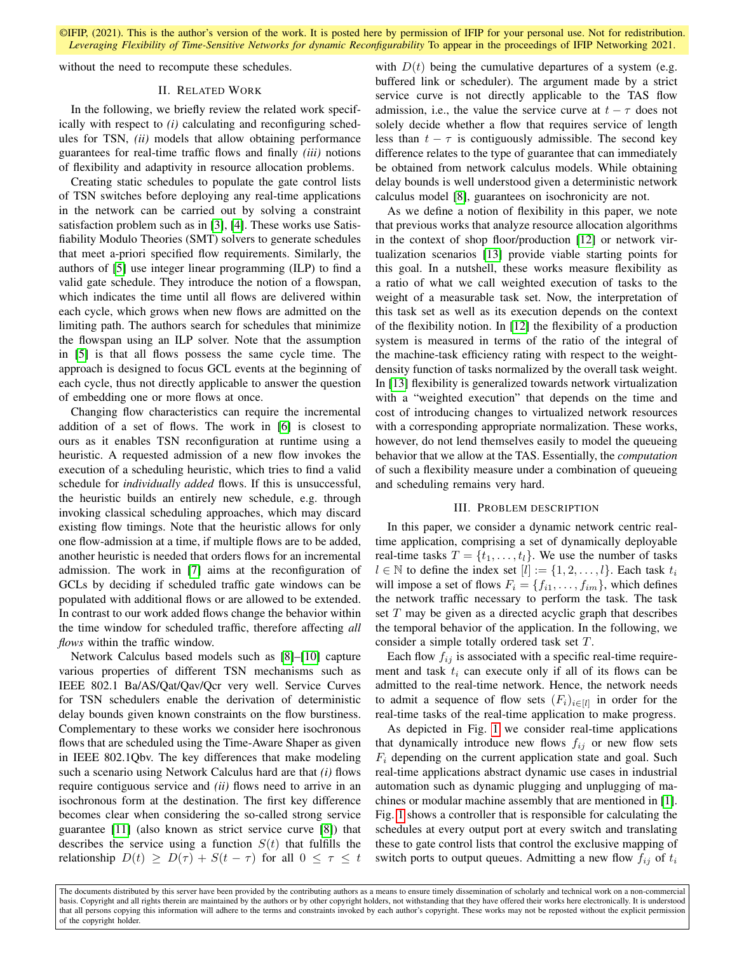<span id="page-1-0"></span>without the need to recompute these schedules.

#### II. RELATED WORK

In the following, we briefly review the related work specifically with respect to *(i)* calculating and reconfiguring schedules for TSN, *(ii)* models that allow obtaining performance guarantees for real-time traffic flows and finally *(iii)* notions of flexibility and adaptivity in resource allocation problems.

Creating static schedules to populate the gate control lists of TSN switches before deploying any real-time applications in the network can be carried out by solving a constraint satisfaction problem such as in [\[3\]](#page-5-2), [\[4\]](#page-5-3). These works use Satisfiability Modulo Theories (SMT) solvers to generate schedules that meet a-priori specified flow requirements. Similarly, the authors of [\[5\]](#page-5-4) use integer linear programming (ILP) to find a valid gate schedule. They introduce the notion of a flowspan, which indicates the time until all flows are delivered within each cycle, which grows when new flows are admitted on the limiting path. The authors search for schedules that minimize the flowspan using an ILP solver. Note that the assumption in [\[5\]](#page-5-4) is that all flows possess the same cycle time. The approach is designed to focus GCL events at the beginning of each cycle, thus not directly applicable to answer the question of embedding one or more flows at once.

Changing flow characteristics can require the incremental addition of a set of flows. The work in [\[6\]](#page-5-5) is closest to ours as it enables TSN reconfiguration at runtime using a heuristic. A requested admission of a new flow invokes the execution of a scheduling heuristic, which tries to find a valid schedule for *individually added* flows. If this is unsuccessful, the heuristic builds an entirely new schedule, e.g. through invoking classical scheduling approaches, which may discard existing flow timings. Note that the heuristic allows for only one flow-admission at a time, if multiple flows are to be added, another heuristic is needed that orders flows for an incremental admission. The work in [\[7\]](#page-5-6) aims at the reconfiguration of GCLs by deciding if scheduled traffic gate windows can be populated with additional flows or are allowed to be extended. In contrast to our work added flows change the behavior within the time window for scheduled traffic, therefore affecting *all flows* within the traffic window.

Network Calculus based models such as [\[8\]](#page-5-7)–[\[10\]](#page-5-8) capture various properties of different TSN mechanisms such as IEEE 802.1 Ba/AS/Qat/Qav/Qcr very well. Service Curves for TSN schedulers enable the derivation of deterministic delay bounds given known constraints on the flow burstiness. Complementary to these works we consider here isochronous flows that are scheduled using the Time-Aware Shaper as given in IEEE 802.1Qbv. The key differences that make modeling such a scenario using Network Calculus hard are that *(i)* flows require contiguous service and *(ii)* flows need to arrive in an isochronous form at the destination. The first key difference becomes clear when considering the so-called strong service guarantee [\[11\]](#page-5-9) (also known as strict service curve [\[8\]](#page-5-7)) that describes the service using a function  $S(t)$  that fulfills the relationship  $D(t) \geq D(\tau) + S(t - \tau)$  for all  $0 \leq \tau \leq t$ 

with  $D(t)$  being the cumulative departures of a system (e.g. buffered link or scheduler). The argument made by a strict service curve is not directly applicable to the TAS flow admission, i.e., the value the service curve at  $t - \tau$  does not solely decide whether a flow that requires service of length less than  $t - \tau$  is contiguously admissible. The second key difference relates to the type of guarantee that can immediately be obtained from network calculus models. While obtaining delay bounds is well understood given a deterministic network calculus model [\[8\]](#page-5-7), guarantees on isochronicity are not.

As we define a notion of flexibility in this paper, we note that previous works that analyze resource allocation algorithms in the context of shop floor/production [\[12\]](#page-5-10) or network virtualization scenarios [\[13\]](#page-5-11) provide viable starting points for this goal. In a nutshell, these works measure flexibility as a ratio of what we call weighted execution of tasks to the weight of a measurable task set. Now, the interpretation of this task set as well as its execution depends on the context of the flexibility notion. In [\[12\]](#page-5-10) the flexibility of a production system is measured in terms of the ratio of the integral of the machine-task efficiency rating with respect to the weightdensity function of tasks normalized by the overall task weight. In [\[13\]](#page-5-11) flexibility is generalized towards network virtualization with a "weighted execution" that depends on the time and cost of introducing changes to virtualized network resources with a corresponding appropriate normalization. These works, however, do not lend themselves easily to model the queueing behavior that we allow at the TAS. Essentially, the *computation* of such a flexibility measure under a combination of queueing and scheduling remains very hard.

## III. PROBLEM DESCRIPTION

<span id="page-1-1"></span>In this paper, we consider a dynamic network centric realtime application, comprising a set of dynamically deployable real-time tasks  $T = \{t_1, \ldots, t_l\}$ . We use the number of tasks  $l \in \mathbb{N}$  to define the index set  $[l] := \{1, 2, \ldots, l\}$ . Each task  $t_i$ will impose a set of flows  $F_i = \{f_{i1}, \ldots, f_{im}\}\$ , which defines the network traffic necessary to perform the task. The task set  $T$  may be given as a directed acyclic graph that describes the temporal behavior of the application. In the following, we consider a simple totally ordered task set T.

Each flow  $f_{ij}$  is associated with a specific real-time requirement and task  $t_i$  can execute only if all of its flows can be admitted to the real-time network. Hence, the network needs to admit a sequence of flow sets  $(F_i)_{i \in [l]}$  in order for the real-time tasks of the real-time application to make progress.

As depicted in Fig. [1](#page-2-0) we consider real-time applications that dynamically introduce new flows  $f_{ij}$  or new flow sets  $F_i$  depending on the current application state and goal. Such real-time applications abstract dynamic use cases in industrial automation such as dynamic plugging and unplugging of machines or modular machine assembly that are mentioned in [\[1\]](#page-5-0). Fig. [1](#page-2-0) shows a controller that is responsible for calculating the schedules at every output port at every switch and translating these to gate control lists that control the exclusive mapping of switch ports to output queues. Admitting a new flow  $f_{ij}$  of  $t_i$ 

The documents distributed by this server have been provided by the contributing authors as a means to ensure timely dissemination of scholarly and technical work on a non-commercial basis. Copyright and all rights therein are maintained by the authors or by other copyright holders, not withstanding that they have offered their works here electronically. It is understood that all persons copying this information will adhere to the terms and constraints invoked by each author's copyright. These works may not be reposted without the explicit permission of the copyright holder.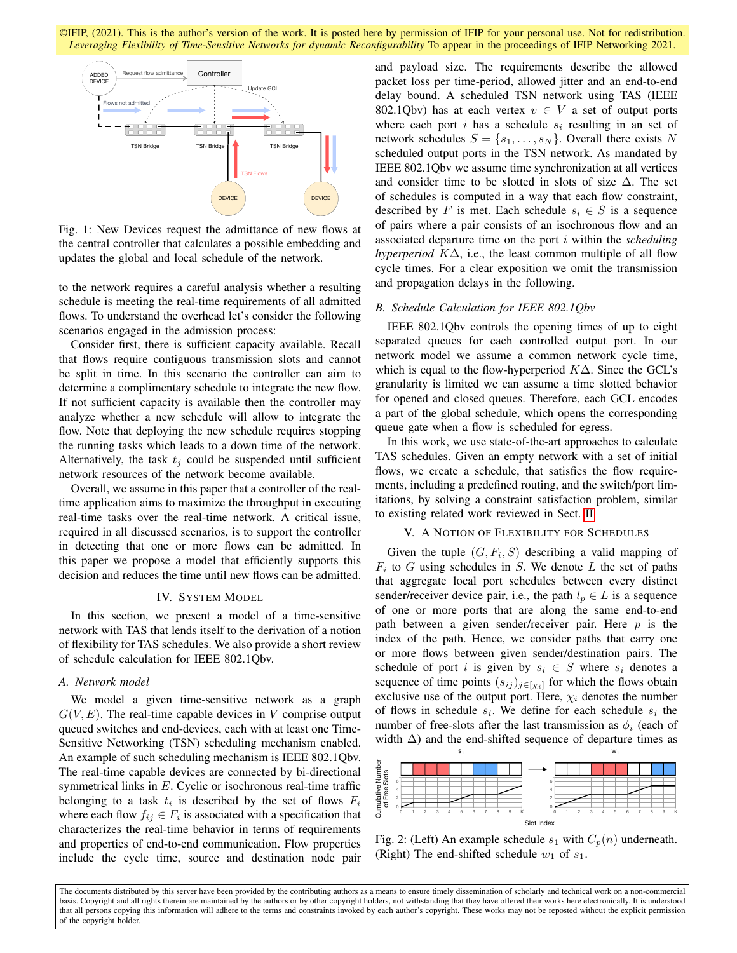<span id="page-2-0"></span>

Fig. 1: New Devices request the admittance of new flows at the central controller that calculates a possible embedding and updates the global and local schedule of the network.

to the network requires a careful analysis whether a resulting schedule is meeting the real-time requirements of all admitted flows. To understand the overhead let's consider the following scenarios engaged in the admission process:

Consider first, there is sufficient capacity available. Recall that flows require contiguous transmission slots and cannot be split in time. In this scenario the controller can aim to determine a complimentary schedule to integrate the new flow. If not sufficient capacity is available then the controller may analyze whether a new schedule will allow to integrate the flow. Note that deploying the new schedule requires stopping the running tasks which leads to a down time of the network. Alternatively, the task  $t_i$  could be suspended until sufficient network resources of the network become available.

Overall, we assume in this paper that a controller of the realtime application aims to maximize the throughput in executing real-time tasks over the real-time network. A critical issue, required in all discussed scenarios, is to support the controller in detecting that one or more flows can be admitted. In this paper we propose a model that efficiently supports this decision and reduces the time until new flows can be admitted.

# IV. SYSTEM MODEL

In this section, we present a model of a time-sensitive network with TAS that lends itself to the derivation of a notion of flexibility for TAS schedules. We also provide a short review of schedule calculation for IEEE 802.1Qbv.

#### *A. Network model*

We model a given time-sensitive network as a graph  $G(V, E)$ . The real-time capable devices in V comprise output queued switches and end-devices, each with at least one Time-Sensitive Networking (TSN) scheduling mechanism enabled. An example of such scheduling mechanism is IEEE 802.1Qbv. The real-time capable devices are connected by bi-directional symmetrical links in E. Cyclic or isochronous real-time traffic belonging to a task  $t_i$  is described by the set of flows  $F_i$ where each flow  $f_{ij} \in F_i$  is associated with a specification that characterizes the real-time behavior in terms of requirements and properties of end-to-end communication. Flow properties include the cycle time, source and destination node pair and payload size. The requirements describe the allowed packet loss per time-period, allowed jitter and an end-to-end delay bound. A scheduled TSN network using TAS (IEEE 802.1Qbv) has at each vertex  $v \in V$  a set of output ports where each port  $i$  has a schedule  $s_i$  resulting in an set of network schedules  $S = \{s_1, \ldots, s_N\}$ . Overall there exists N scheduled output ports in the TSN network. As mandated by IEEE 802.1Qbv we assume time synchronization at all vertices and consider time to be slotted in slots of size  $\Delta$ . The set of schedules is computed in a way that each flow constraint, described by F is met. Each schedule  $s_i \in S$  is a sequence of pairs where a pair consists of an isochronous flow and an associated departure time on the port i within the *scheduling hyperperiod K*∆, i.e., the least common multiple of all flow cycle times. For a clear exposition we omit the transmission and propagation delays in the following.

#### *B. Schedule Calculation for IEEE 802.1Qbv*

IEEE 802.1Qbv controls the opening times of up to eight separated queues for each controlled output port. In our network model we assume a common network cycle time, which is equal to the flow-hyperperiod  $K\Delta$ . Since the GCL's granularity is limited we can assume a time slotted behavior for opened and closed queues. Therefore, each GCL encodes a part of the global schedule, which opens the corresponding queue gate when a flow is scheduled for egress.

In this work, we use state-of-the-art approaches to calculate TAS schedules. Given an empty network with a set of initial flows, we create a schedule, that satisfies the flow requirements, including a predefined routing, and the switch/port limitations, by solving a constraint satisfaction problem, similar to existing related work reviewed in Sect. [II.](#page-1-0)

#### V. A NOTION OF FLEXIBILITY FOR SCHEDULES

<span id="page-2-2"></span>Given the tuple  $(G, F_i, S)$  describing a valid mapping of  $F_i$  to G using schedules in S. We denote L the set of paths that aggregate local port schedules between every distinct sender/receiver device pair, i.e., the path  $l_p \in L$  is a sequence of one or more ports that are along the same end-to-end path between a given sender/receiver pair. Here  $p$  is the index of the path. Hence, we consider paths that carry one or more flows between given sender/destination pairs. The schedule of port i is given by  $s_i \in S$  where  $s_i$  denotes a sequence of time points  $(s_{ij})_{j \in [\chi_i]}$  for which the flows obtain exclusive use of the output port. Here,  $\chi_i$  denotes the number of flows in schedule  $s_i$ . We define for each schedule  $s_i$  the number of free-slots after the last transmission as  $\phi_i$  (each of width  $\Delta$ ) and the end-shifted sequence of departure times as

<span id="page-2-1"></span>

Fig. 2: (Left) An example schedule  $s_1$  with  $C_p(n)$  underneath. (Right) The end-shifted schedule  $w_1$  of  $s_1$ .

The documents distributed by this server have been provided by the contributing authors as a means to ensure timely dissemination of scholarly and technical work on a non-commercial basis. Copyright and all rights therein are maintained by the authors or by other copyright holders, not withstanding that they have offered their works here electronically. It is understood that all persons copying this information will adhere to the terms and constraints invoked by each author's copyright. These works may not be reposted without the explicit permission of the copyright holder.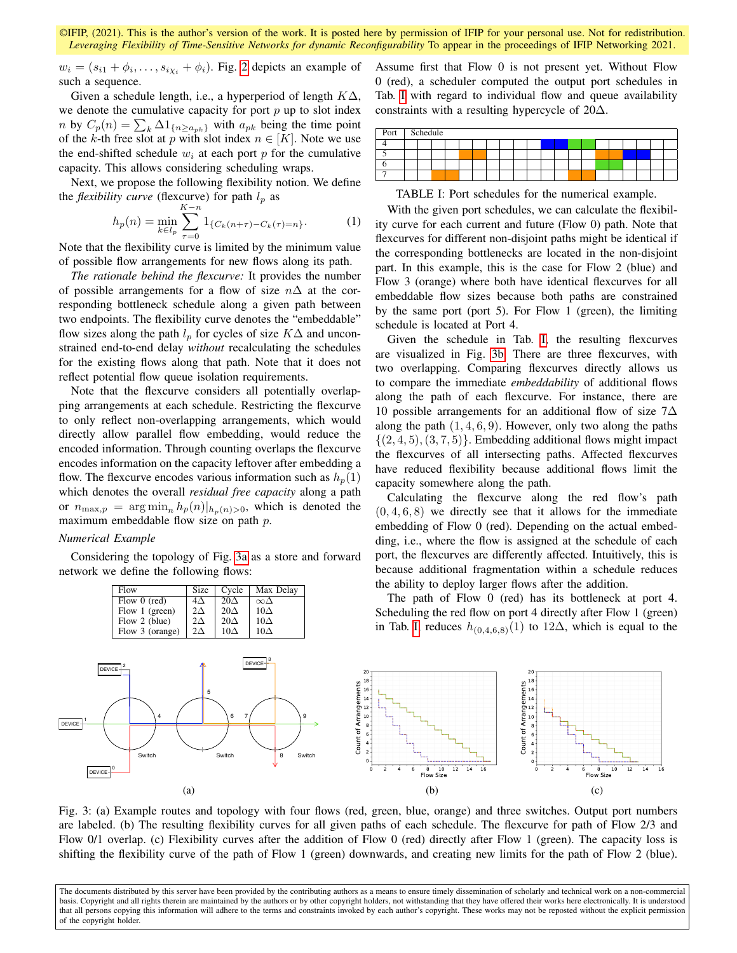$w_i = (s_{i1} + \phi_i, \dots, s_{i\chi_i} + \phi_i)$ . Fig. [2](#page-2-1) depicts an example of such a sequence.

Given a schedule length, i.e., a hyperperiod of length  $K\Delta$ , we denote the cumulative capacity for port  $p$  up to slot index *n* by  $C_p(n) = \sum_k \Delta 1_{\{n \ge a_{pk}\}}$  with  $a_{pk}$  being the time point of the k-th free slot at p with slot index  $n \in [K]$ . Note we use the end-shifted schedule  $w_i$  at each port p for the cumulative capacity. This allows considering scheduling wraps.

Next, we propose the following flexibility notion. We define the *flexibility curve* (flexcurve) for path  $l_p$  as

$$
h_p(n) = \min_{k \in l_p} \sum_{\tau=0}^{K-n} 1_{\{C_k(n+\tau) - C_k(\tau) = n\}}.
$$
 (1)

Note that the flexibility curve is limited by the minimum value of possible flow arrangements for new flows along its path.

*The rationale behind the flexcurve:* It provides the number of possible arrangements for a flow of size  $n\Delta$  at the corresponding bottleneck schedule along a given path between two endpoints. The flexibility curve denotes the "embeddable" flow sizes along the path  $l_p$  for cycles of size  $K\Delta$  and unconstrained end-to-end delay *without* recalculating the schedules for the existing flows along that path. Note that it does not reflect potential flow queue isolation requirements.

Note that the flexcurve considers all potentially overlapping arrangements at each schedule. Restricting the flexcurve to only reflect non-overlapping arrangements, which would directly allow parallel flow embedding, would reduce the encoded information. Through counting overlaps the flexcurve encodes information on the capacity leftover after embedding a flow. The flexcurve encodes various information such as  $h_p(1)$ which denotes the overall *residual free capacity* along a path or  $n_{\max,p} = \arg \min_n h_p(n)|_{h_p(n)>0}$ , which is denoted the maximum embeddable flow size on path p.

## *Numerical Example*

Considering the topology of Fig. [3a](#page-3-0) as a store and forward network we define the following flows:

<span id="page-3-0"></span>

Assume first that Flow 0 is not present yet. Without Flow 0 (red), a scheduler computed the output port schedules in Tab. [I](#page-3-1) with regard to individual flow and queue availability constraints with a resulting hypercycle of 20∆.

<span id="page-3-1"></span>

| Port   Schedule |  |  |  |  |  |  |  |  |  |  |
|-----------------|--|--|--|--|--|--|--|--|--|--|
|                 |  |  |  |  |  |  |  |  |  |  |
|                 |  |  |  |  |  |  |  |  |  |  |
|                 |  |  |  |  |  |  |  |  |  |  |
|                 |  |  |  |  |  |  |  |  |  |  |

TABLE I: Port schedules for the numerical example.

With the given port schedules, we can calculate the flexibility curve for each current and future (Flow 0) path. Note that flexcurves for different non-disjoint paths might be identical if the corresponding bottlenecks are located in the non-disjoint part. In this example, this is the case for Flow 2 (blue) and Flow 3 (orange) where both have identical flexcurves for all embeddable flow sizes because both paths are constrained by the same port (port 5). For Flow 1 (green), the limiting schedule is located at Port 4.

Given the schedule in Tab. [I,](#page-3-1) the resulting flexcurves are visualized in Fig. [3b.](#page-3-0) There are three flexcurves, with two overlapping. Comparing flexcurves directly allows us to compare the immediate *embeddability* of additional flows along the path of each flexcurve. For instance, there are 10 possible arrangements for an additional flow of size 7∆ along the path  $(1, 4, 6, 9)$ . However, only two along the paths  $\{(2, 4, 5), (3, 7, 5)\}.$  Embedding additional flows might impact the flexcurves of all intersecting paths. Affected flexcurves have reduced flexibility because additional flows limit the capacity somewhere along the path.

Calculating the flexcurve along the red flow's path  $(0, 4, 6, 8)$  we directly see that it allows for the immediate embedding of Flow 0 (red). Depending on the actual embedding, i.e., where the flow is assigned at the schedule of each port, the flexcurves are differently affected. Intuitively, this is because additional fragmentation within a schedule reduces the ability to deploy larger flows after the addition.

The path of Flow 0 (red) has its bottleneck at port 4. Scheduling the red flow on port 4 directly after Flow 1 (green) in Tab. [I,](#page-3-1) reduces  $h_{(0,4,6,8)}(1)$  to 12∆, which is equal to the



Fig. 3: (a) Example routes and topology with four flows (red, green, blue, orange) and three switches. Output port numbers are labeled. (b) The resulting flexibility curves for all given paths of each schedule. The flexcurve for path of Flow 2/3 and Flow 0/1 overlap. (c) Flexibility curves after the addition of Flow 0 (red) directly after Flow 1 (green). The capacity loss is shifting the flexibility curve of the path of Flow 1 (green) downwards, and creating new limits for the path of Flow 2 (blue).

The documents distributed by this server have been provided by the contributing authors as a means to ensure timely dissemination of scholarly and technical work on a non-commercial basis. Copyright and all rights therein are maintained by the authors or by other copyright holders, not withstanding that they have offered their works here electronically. It is understood that all persons copying this information will adhere to the terms and constraints invoked by each author's copyright. These works may not be reposted without the explicit permission of the copyright holder.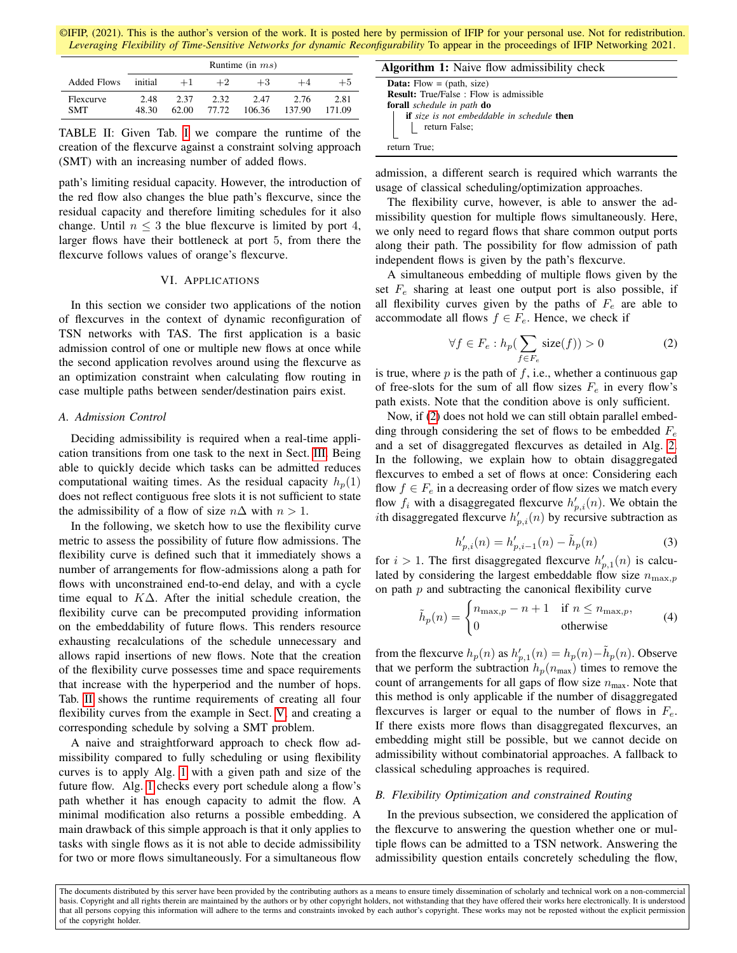©IFIP, (2021). This is the author's version of the work. It is posted here by permission of IFIP for your personal use. Not for redistribution. *Leveraging Flexibility of Time-Sensitive Networks for dynamic Reconfigurability* To appear in the proceedings of IFIP Networking 2021.

<span id="page-4-0"></span>

|                         | Runtime (in $ms$ ) |               |               |                |                |                |  |  |  |
|-------------------------|--------------------|---------------|---------------|----------------|----------------|----------------|--|--|--|
| Added Flows             | initial            | $+1$          | $+2$          | $+3$           | $+4$           | $+5$           |  |  |  |
| Flexcurve<br><b>SMT</b> | 2.48<br>48.30      | 2.37<br>62.00 | 2.32<br>77.72 | 2.47<br>106.36 | 2.76<br>137.90 | 2.81<br>171.09 |  |  |  |

TABLE II: Given Tab. [I](#page-3-1) we compare the runtime of the creation of the flexcurve against a constraint solving approach (SMT) with an increasing number of added flows.

path's limiting residual capacity. However, the introduction of the red flow also changes the blue path's flexcurve, since the residual capacity and therefore limiting schedules for it also change. Until  $n \leq 3$  the blue flexcurve is limited by port 4, larger flows have their bottleneck at port 5, from there the flexcurve follows values of orange's flexcurve.

## VI. APPLICATIONS

In this section we consider two applications of the notion of flexcurves in the context of dynamic reconfiguration of TSN networks with TAS. The first application is a basic admission control of one or multiple new flows at once while the second application revolves around using the flexcurve as an optimization constraint when calculating flow routing in case multiple paths between sender/destination pairs exist.

# *A. Admission Control*

Deciding admissibility is required when a real-time application transitions from one task to the next in Sect. [III.](#page-1-1) Being able to quickly decide which tasks can be admitted reduces computational waiting times. As the residual capacity  $h_n(1)$ does not reflect contiguous free slots it is not sufficient to state the admissibility of a flow of size  $n\Delta$  with  $n > 1$ .

In the following, we sketch how to use the flexibility curve metric to assess the possibility of future flow admissions. The flexibility curve is defined such that it immediately shows a number of arrangements for flow-admissions along a path for flows with unconstrained end-to-end delay, and with a cycle time equal to  $K\Delta$ . After the initial schedule creation, the flexibility curve can be precomputed providing information on the embeddability of future flows. This renders resource exhausting recalculations of the schedule unnecessary and allows rapid insertions of new flows. Note that the creation of the flexibility curve possesses time and space requirements that increase with the hyperperiod and the number of hops. Tab. [II](#page-4-0) shows the runtime requirements of creating all four flexibility curves from the example in Sect. [V,](#page-2-2) and creating a corresponding schedule by solving a SMT problem.

A naive and straightforward approach to check flow admissibility compared to fully scheduling or using flexibility curves is to apply Alg. [1](#page-4-1) with a given path and size of the future flow. Alg. [1](#page-4-1) checks every port schedule along a flow's path whether it has enough capacity to admit the flow. A minimal modification also returns a possible embedding. A main drawback of this simple approach is that it only applies to tasks with single flows as it is not able to decide admissibility for two or more flows simultaneously. For a simultaneous flow

|  |  | <b>Algorithm 1:</b> Naive flow admissibility check |  |
|--|--|----------------------------------------------------|--|
|  |  |                                                    |  |

| <b>Data:</b> Flow = $(\text{path}, \text{size})$         |  |
|----------------------------------------------------------|--|
| <b>Result:</b> True/False: Flow is admissible            |  |
| <b>forall</b> schedule in path <b>do</b>                 |  |
| <b>if</b> size is not embeddable in schedule <b>then</b> |  |
| return False;                                            |  |
|                                                          |  |
| return True;                                             |  |

<span id="page-4-1"></span>admission, a different search is required which warrants the usage of classical scheduling/optimization approaches.

The flexibility curve, however, is able to answer the admissibility question for multiple flows simultaneously. Here, we only need to regard flows that share common output ports along their path. The possibility for flow admission of path independent flows is given by the path's flexcurve.

A simultaneous embedding of multiple flows given by the set  $F_e$  sharing at least one output port is also possible, if all flexibility curves given by the paths of  $F_e$  are able to accommodate all flows  $f \in F_e$ . Hence, we check if

<span id="page-4-2"></span>
$$
\forall f \in F_e : h_p(\sum_{f \in F_e} \text{size}(f)) > 0 \tag{2}
$$

is true, where  $p$  is the path of  $f$ , i.e., whether a continuous gap of free-slots for the sum of all flow sizes  $F_e$  in every flow's path exists. Note that the condition above is only sufficient.

Now, if [\(2\)](#page-4-2) does not hold we can still obtain parallel embedding through considering the set of flows to be embedded  $F_e$ and a set of disaggregated flexcurves as detailed in Alg. [2.](#page-5-12) In the following, we explain how to obtain disaggregated flexcurves to embed a set of flows at once: Considering each flow  $f \in F_e$  in a decreasing order of flow sizes we match every flow  $f_i$  with a disaggregated flexcurve  $h'_{p,i}(n)$ . We obtain the *i*th disaggregated flexcurve  $h'_{p,i}(n)$  by recursive subtraction as

$$
h'_{p,i}(n) = h'_{p,i-1}(n) - \tilde{h}_p(n)
$$
\n(3)

for  $i > 1$ . The first disaggregated flexcurve  $h'_{p,1}(n)$  is calculated by considering the largest embeddable flow size  $n_{\text{max},p}$ on path  $p$  and subtracting the canonical flexibility curve

<span id="page-4-3"></span>
$$
\tilde{h}_p(n) = \begin{cases} n_{\max,p} - n + 1 & \text{if } n \le n_{\max,p}, \\ 0 & \text{otherwise} \end{cases}
$$
 (4)

from the flexcurve  $h_p(n)$  as  $h'_{p,1}(n) = h_p(n) - \tilde{h}_p(n)$ . Observe that we perform the subtraction  $h_p(n_{\text{max}})$  times to remove the count of arrangements for all gaps of flow size  $n_{\text{max}}$ . Note that this method is only applicable if the number of disaggregated flexcurves is larger or equal to the number of flows in  $F_e$ . If there exists more flows than disaggregated flexcurves, an embedding might still be possible, but we cannot decide on admissibility without combinatorial approaches. A fallback to classical scheduling approaches is required.

# *B. Flexibility Optimization and constrained Routing*

In the previous subsection, we considered the application of the flexcurve to answering the question whether one or multiple flows can be admitted to a TSN network. Answering the admissibility question entails concretely scheduling the flow,

The documents distributed by this server have been provided by the contributing authors as a means to ensure timely dissemination of scholarly and technical work on a non-commercial basis. Copyright and all rights therein are maintained by the authors or by other copyright holders, not withstanding that they have offered their works here electronically. It is understood that all persons copying this information will adhere to the terms and constraints invoked by each author's copyright. These works may not be reposted without the explicit permission of the copyright holder.